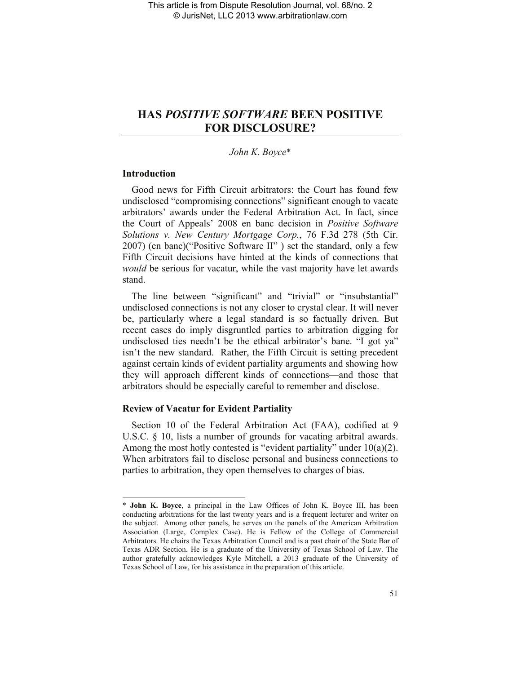# **HAS** *POSITIVE SOFTWARE* **BEEN POSITIVE FOR DISCLOSURE?**

# *John K. Boyce*\*

# **Introduction**

 $\overline{\phantom{a}}$ 

Good news for Fifth Circuit arbitrators: the Court has found few undisclosed "compromising connections" significant enough to vacate arbitrators' awards under the Federal Arbitration Act. In fact, since the Court of Appeals' 2008 en banc decision in *Positive Software Solutions v. New Century Mortgage Corp.*, 76 F.3d 278 (5th Cir. 2007) (en banc)("Positive Software II" ) set the standard, only a few Fifth Circuit decisions have hinted at the kinds of connections that *would* be serious for vacatur, while the vast majority have let awards stand.

The line between "significant" and "trivial" or "insubstantial" undisclosed connections is not any closer to crystal clear. It will never be, particularly where a legal standard is so factually driven. But recent cases do imply disgruntled parties to arbitration digging for undisclosed ties needn't be the ethical arbitrator's bane. "I got ya" isn't the new standard. Rather, the Fifth Circuit is setting precedent against certain kinds of evident partiality arguments and showing how they will approach different kinds of connections—and those that arbitrators should be especially careful to remember and disclose.

# **Review of Vacatur for Evident Partiality**

Section 10 of the Federal Arbitration Act (FAA), codified at 9 U.S.C. § 10, lists a number of grounds for vacating arbitral awards. Among the most hotly contested is "evident partiality" under  $10(a)(2)$ . When arbitrators fail to disclose personal and business connections to parties to arbitration, they open themselves to charges of bias.

<sup>\*</sup> **John K. Boyce**, a principal in the Law Offices of John K. Boyce III, has been conducting arbitrations for the last twenty years and is a frequent lecturer and writer on the subject. Among other panels, he serves on the panels of the American Arbitration Association (Large, Complex Case). He is Fellow of the College of Commercial Arbitrators. He chairs the Texas Arbitration Council and is a past chair of the State Bar of Texas ADR Section. He is a graduate of the University of Texas School of Law. The author gratefully acknowledges Kyle Mitchell, a 2013 graduate of the University of Texas School of Law, for his assistance in the preparation of this article.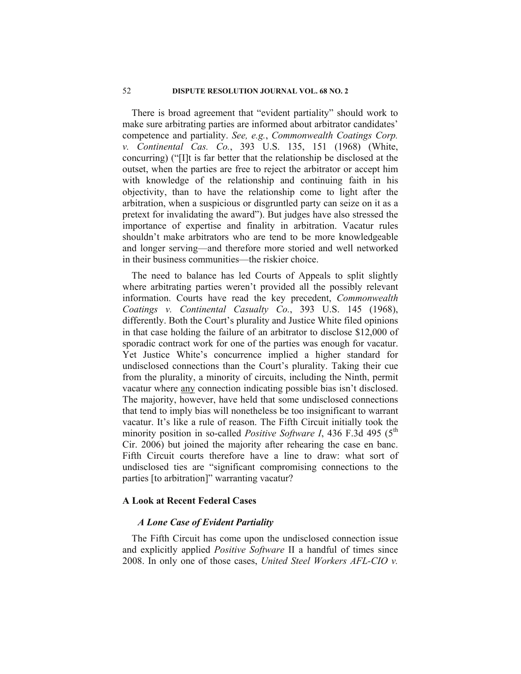# 52 **DISPUTE RESOLUTION JOURNAL VOL. 68 NO. 2**

There is broad agreement that "evident partiality" should work to make sure arbitrating parties are informed about arbitrator candidates' competence and partiality. *See, e.g.*, *Commonwealth Coatings Corp. v. Continental Cas. Co.*, 393 U.S. 135, 151 (1968) (White, concurring) ("[I]t is far better that the relationship be disclosed at the outset, when the parties are free to reject the arbitrator or accept him with knowledge of the relationship and continuing faith in his objectivity, than to have the relationship come to light after the arbitration, when a suspicious or disgruntled party can seize on it as a pretext for invalidating the award"). But judges have also stressed the importance of expertise and finality in arbitration. Vacatur rules shouldn't make arbitrators who are tend to be more knowledgeable and longer serving—and therefore more storied and well networked in their business communities—the riskier choice.

The need to balance has led Courts of Appeals to split slightly where arbitrating parties weren't provided all the possibly relevant information. Courts have read the key precedent, *Commonwealth Coatings v. Continental Casualty Co.*, 393 U.S. 145 (1968), differently. Both the Court's plurality and Justice White filed opinions in that case holding the failure of an arbitrator to disclose \$12,000 of sporadic contract work for one of the parties was enough for vacatur. Yet Justice White's concurrence implied a higher standard for undisclosed connections than the Court's plurality. Taking their cue from the plurality, a minority of circuits, including the Ninth, permit vacatur where any connection indicating possible bias isn't disclosed. The majority, however, have held that some undisclosed connections that tend to imply bias will nonetheless be too insignificant to warrant vacatur. It's like a rule of reason. The Fifth Circuit initially took the minority position in so-called *Positive Software I*, 436 F.3d 495 (5<sup>th</sup>) Cir. 2006) but joined the majority after rehearing the case en banc. Fifth Circuit courts therefore have a line to draw: what sort of undisclosed ties are "significant compromising connections to the parties [to arbitration]" warranting vacatur?

# **A Look at Recent Federal Cases**

# *A Lone Case of Evident Partiality*

The Fifth Circuit has come upon the undisclosed connection issue and explicitly applied *Positive Software* II a handful of times since 2008. In only one of those cases, *United Steel Workers AFL-CIO v.*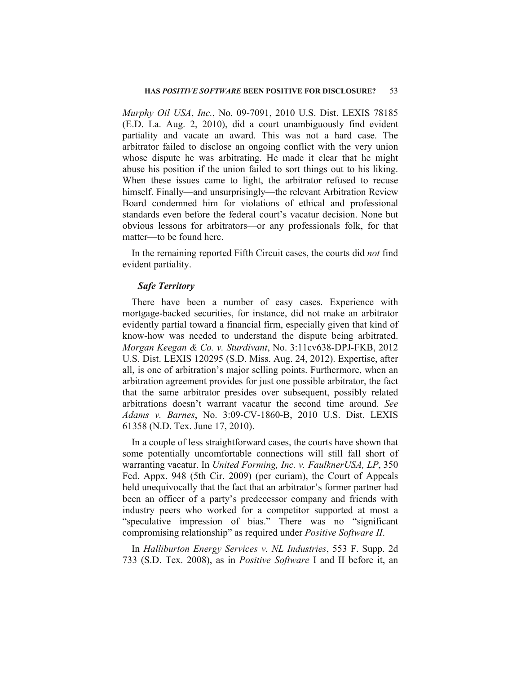#### **HAS** *POSITIVE SOFTWARE* **BEEN POSITIVE FOR DISCLOSURE?** 53

*Murphy Oil USA*, *Inc.*, No. 09-7091, 2010 U.S. Dist. LEXIS 78185 (E.D. La. Aug. 2, 2010), did a court unambiguously find evident partiality and vacate an award. This was not a hard case. The arbitrator failed to disclose an ongoing conflict with the very union whose dispute he was arbitrating. He made it clear that he might abuse his position if the union failed to sort things out to his liking. When these issues came to light, the arbitrator refused to recuse himself. Finally—and unsurprisingly—the relevant Arbitration Review Board condemned him for violations of ethical and professional standards even before the federal court's vacatur decision. None but obvious lessons for arbitrators—or any professionals folk, for that matter—to be found here.

In the remaining reported Fifth Circuit cases, the courts did *not* find evident partiality.

### *Safe Territory*

There have been a number of easy cases. Experience with mortgage-backed securities, for instance, did not make an arbitrator evidently partial toward a financial firm, especially given that kind of know-how was needed to understand the dispute being arbitrated. *Morgan Keegan & Co. v. Sturdivant*, No. 3:11cv638-DPJ-FKB, 2012 U.S. Dist. LEXIS 120295 (S.D. Miss. Aug. 24, 2012). Expertise, after all, is one of arbitration's major selling points. Furthermore, when an arbitration agreement provides for just one possible arbitrator, the fact that the same arbitrator presides over subsequent, possibly related arbitrations doesn't warrant vacatur the second time around. *See Adams v. Barnes*, No. 3:09-CV-1860-B, 2010 U.S. Dist. LEXIS 61358 (N.D. Tex. June 17, 2010).

In a couple of less straightforward cases, the courts have shown that some potentially uncomfortable connections will still fall short of warranting vacatur. In *United Forming, Inc. v. FaulknerUSA, LP*, 350 Fed. Appx. 948 (5th Cir. 2009) (per curiam), the Court of Appeals held unequivocally that the fact that an arbitrator's former partner had been an officer of a party's predecessor company and friends with industry peers who worked for a competitor supported at most a "speculative impression of bias." There was no "significant compromising relationship" as required under *Positive Software II*.

In *Halliburton Energy Services v. NL Industries*, 553 F. Supp. 2d 733 (S.D. Tex. 2008), as in *Positive Software* I and II before it, an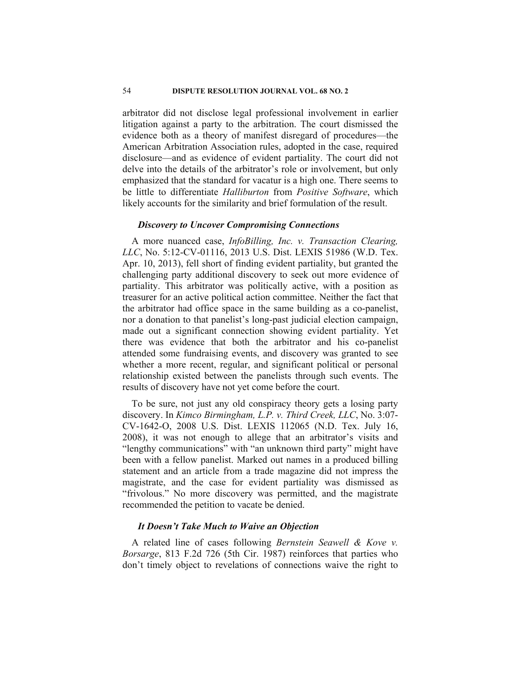# 54 **DISPUTE RESOLUTION JOURNAL VOL. 68 NO. 2**

arbitrator did not disclose legal professional involvement in earlier litigation against a party to the arbitration. The court dismissed the evidence both as a theory of manifest disregard of procedures—the American Arbitration Association rules, adopted in the case, required disclosure—and as evidence of evident partiality. The court did not delve into the details of the arbitrator's role or involvement, but only emphasized that the standard for vacatur is a high one. There seems to be little to differentiate *Halliburton* from *Positive Software*, which likely accounts for the similarity and brief formulation of the result.

# *Discovery to Uncover Compromising Connections*

A more nuanced case, *InfoBilling, Inc. v. Transaction Clearing, LLC*, No. 5:12-CV-01116, 2013 U.S. Dist. LEXIS 51986 (W.D. Tex. Apr. 10, 2013), fell short of finding evident partiality, but granted the challenging party additional discovery to seek out more evidence of partiality. This arbitrator was politically active, with a position as treasurer for an active political action committee. Neither the fact that the arbitrator had office space in the same building as a co-panelist, nor a donation to that panelist's long-past judicial election campaign, made out a significant connection showing evident partiality. Yet there was evidence that both the arbitrator and his co-panelist attended some fundraising events, and discovery was granted to see whether a more recent, regular, and significant political or personal relationship existed between the panelists through such events. The results of discovery have not yet come before the court.

To be sure, not just any old conspiracy theory gets a losing party discovery. In *Kimco Birmingham, L.P. v. Third Creek, LLC*, No. 3:07- CV-1642-O, 2008 U.S. Dist. LEXIS 112065 (N.D. Tex. July 16, 2008), it was not enough to allege that an arbitrator's visits and "lengthy communications" with "an unknown third party" might have been with a fellow panelist. Marked out names in a produced billing statement and an article from a trade magazine did not impress the magistrate, and the case for evident partiality was dismissed as "frivolous." No more discovery was permitted, and the magistrate recommended the petition to vacate be denied.

# *It Doesn't Take Much to Waive an Objection*

A related line of cases following *Bernstein Seawell & Kove v. Borsarge*, 813 F.2d 726 (5th Cir. 1987) reinforces that parties who don't timely object to revelations of connections waive the right to